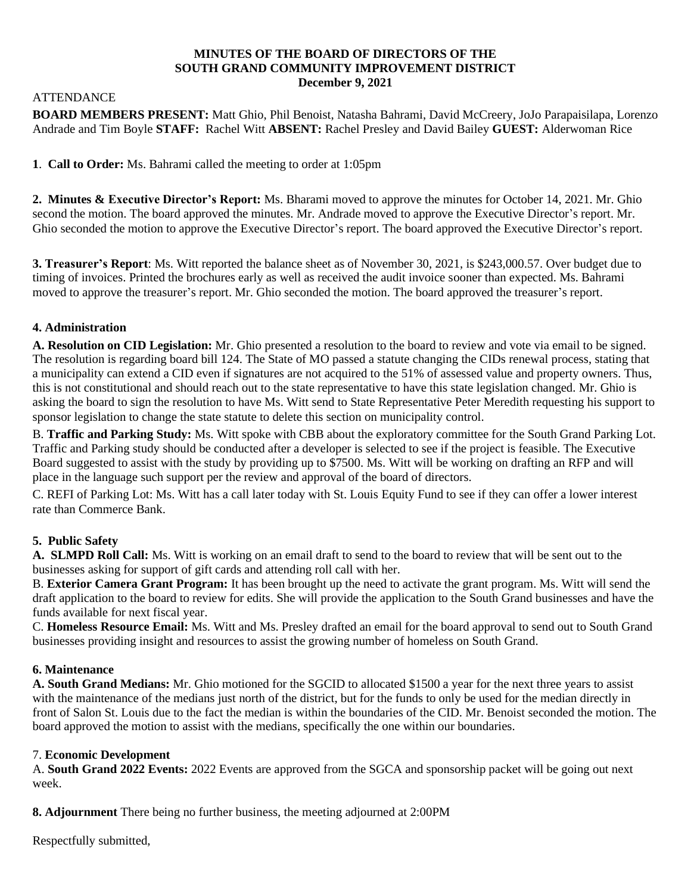#### **MINUTES OF THE BOARD OF DIRECTORS OF THE SOUTH GRAND COMMUNITY IMPROVEMENT DISTRICT December 9, 2021**

### ATTENDANCE

**BOARD MEMBERS PRESENT:** Matt Ghio, Phil Benoist, Natasha Bahrami, David McCreery, JoJo Parapaisilapa, Lorenzo Andrade and Tim Boyle **STAFF:** Rachel Witt **ABSENT:** Rachel Presley and David Bailey **GUEST:** Alderwoman Rice

**1**. **Call to Order:** Ms. Bahrami called the meeting to order at 1:05pm

**2. Minutes & Executive Director's Report:** Ms. Bharami moved to approve the minutes for October 14, 2021. Mr. Ghio second the motion. The board approved the minutes. Mr. Andrade moved to approve the Executive Director's report. Mr. Ghio seconded the motion to approve the Executive Director's report. The board approved the Executive Director's report.

**3. Treasurer's Report**: Ms. Witt reported the balance sheet as of November 30, 2021, is \$243,000.57. Over budget due to timing of invoices. Printed the brochures early as well as received the audit invoice sooner than expected. Ms. Bahrami moved to approve the treasurer's report. Mr. Ghio seconded the motion. The board approved the treasurer's report.

## **4. Administration**

**A. Resolution on CID Legislation:** Mr. Ghio presented a resolution to the board to review and vote via email to be signed. The resolution is regarding board bill 124. The State of MO passed a statute changing the CIDs renewal process, stating that a municipality can extend a CID even if signatures are not acquired to the 51% of assessed value and property owners. Thus, this is not constitutional and should reach out to the state representative to have this state legislation changed. Mr. Ghio is asking the board to sign the resolution to have Ms. Witt send to State Representative Peter Meredith requesting his support to sponsor legislation to change the state statute to delete this section on municipality control.

B. **Traffic and Parking Study:** Ms. Witt spoke with CBB about the exploratory committee for the South Grand Parking Lot. Traffic and Parking study should be conducted after a developer is selected to see if the project is feasible. The Executive Board suggested to assist with the study by providing up to \$7500. Ms. Witt will be working on drafting an RFP and will place in the language such support per the review and approval of the board of directors.

C. REFI of Parking Lot: Ms. Witt has a call later today with St. Louis Equity Fund to see if they can offer a lower interest rate than Commerce Bank.

# **5. Public Safety**

**A. SLMPD Roll Call:** Ms. Witt is working on an email draft to send to the board to review that will be sent out to the businesses asking for support of gift cards and attending roll call with her.

B. **Exterior Camera Grant Program:** It has been brought up the need to activate the grant program. Ms. Witt will send the draft application to the board to review for edits. She will provide the application to the South Grand businesses and have the funds available for next fiscal year.

C. **Homeless Resource Email:** Ms. Witt and Ms. Presley drafted an email for the board approval to send out to South Grand businesses providing insight and resources to assist the growing number of homeless on South Grand.

## **6. Maintenance**

**A. South Grand Medians:** Mr. Ghio motioned for the SGCID to allocated \$1500 a year for the next three years to assist with the maintenance of the medians just north of the district, but for the funds to only be used for the median directly in front of Salon St. Louis due to the fact the median is within the boundaries of the CID. Mr. Benoist seconded the motion. The board approved the motion to assist with the medians, specifically the one within our boundaries.

## 7. **Economic Development**

A. **South Grand 2022 Events:** 2022 Events are approved from the SGCA and sponsorship packet will be going out next week.

**8. Adjournment** There being no further business, the meeting adjourned at 2:00PM

Respectfully submitted,